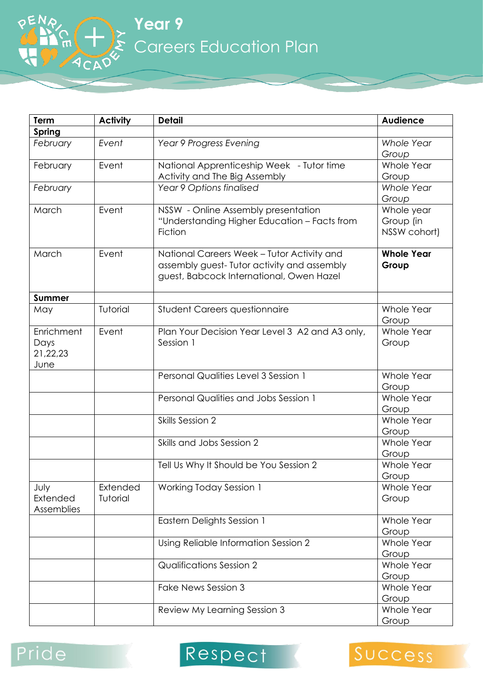**Year 9** Careers Education Plan

| Term          | <b>Activity</b> | <b>Detail</b>                                   | <b>Audience</b>   |
|---------------|-----------------|-------------------------------------------------|-------------------|
| <b>Spring</b> |                 |                                                 |                   |
| February      | Event           | Year 9 Progress Evening                         | <b>Whole Year</b> |
|               |                 |                                                 | Group             |
| February      | Event           | National Apprenticeship Week - Tutor time       | Whole Year        |
|               |                 | Activity and The Big Assembly                   | Group             |
| February      |                 | Year 9 Options finalised                        | <b>Whole Year</b> |
|               |                 |                                                 | Group             |
| March         | Event           | NSSW - Online Assembly presentation             | Whole year        |
|               |                 | "Understanding Higher Education - Facts from    | Group (in         |
|               |                 | Fiction                                         | NSSW cohort)      |
| March         | Event           | National Careers Week - Tutor Activity and      | <b>Whole Year</b> |
|               |                 | assembly guest-Tutor activity and assembly      | Group             |
|               |                 | guest, Babcock International, Owen Hazel        |                   |
|               |                 |                                                 |                   |
| <b>Summer</b> |                 |                                                 |                   |
| May           | Tutorial        | <b>Student Careers questionnaire</b>            | Whole Year        |
|               |                 |                                                 | Group             |
| Enrichment    | Event           | Plan Your Decision Year Level 3 A2 and A3 only, | Whole Year        |
| Days          |                 | Session 1                                       | Group             |
| 21,22,23      |                 |                                                 |                   |
| June          |                 |                                                 |                   |
|               |                 | Personal Qualities Level 3 Session 1            | Whole Year        |
|               |                 |                                                 | Group             |
|               |                 | Personal Qualities and Jobs Session 1           | Whole Year        |
|               |                 |                                                 | Group             |
|               |                 | Skills Session 2                                | Whole Year        |
|               |                 |                                                 | Group             |
|               |                 | Skills and Jobs Session 2                       | Whole Year        |
|               |                 |                                                 | Group             |
|               |                 | Tell Us Why It Should be You Session 2          | Whole Year        |
|               |                 |                                                 | Group             |
| July          | Extended        | Working Today Session 1                         | Whole Year        |
| Extended      | Tutorial        |                                                 | Group             |
| Assemblies    |                 |                                                 |                   |
|               |                 | Eastern Delights Session 1                      | Whole Year        |
|               |                 |                                                 | Group             |
|               |                 | Using Reliable Information Session 2            | Whole Year        |
|               |                 |                                                 | Group             |
|               |                 | <b>Qualifications Session 2</b>                 | Whole Year        |
|               |                 |                                                 | Group             |
|               |                 | Fake News Session 3                             | Whole Year        |
|               |                 |                                                 | Group             |
|               |                 | Review My Learning Session 3                    | Whole Year        |
|               |                 |                                                 | Group             |

## Pride